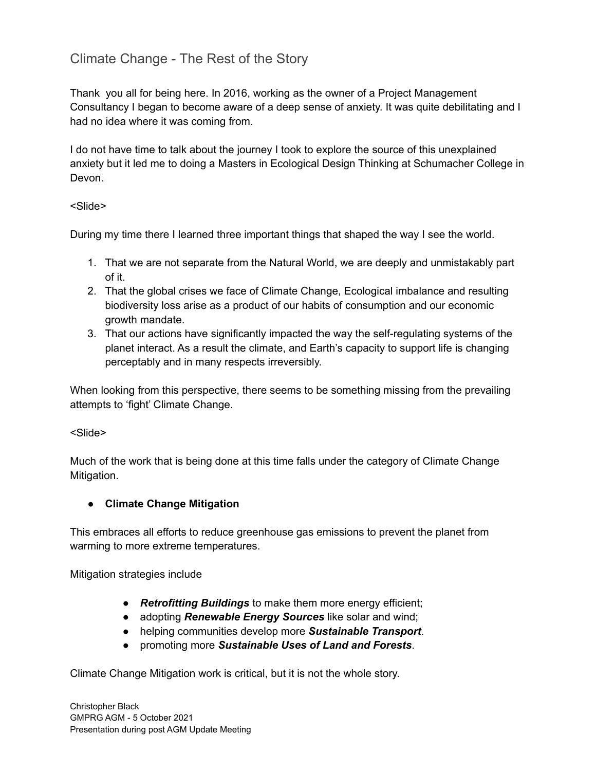Thank you all for being here. In 2016, working as the owner of a Project Management Consultancy I began to become aware of a deep sense of anxiety. It was quite debilitating and I had no idea where it was coming from.

I do not have time to talk about the journey I took to explore the source of this unexplained anxiety but it led me to doing a Masters in Ecological Design Thinking at Schumacher College in Devon.

<Slide>

During my time there I learned three important things that shaped the way I see the world.

- 1. That we are not separate from the Natural World, we are deeply and unmistakably part of it.
- 2. That the global crises we face of Climate Change, Ecological imbalance and resulting biodiversity loss arise as a product of our habits of consumption and our economic growth mandate.
- 3. That our actions have significantly impacted the way the self-regulating systems of the planet interact. As a result the climate, and Earth's capacity to support life is changing perceptably and in many respects irreversibly.

When looking from this perspective, there seems to be something missing from the prevailing attempts to 'fight' Climate Change.

### <Slide>

Much of the work that is being done at this time falls under the category of Climate Change Mitigation.

### **● Climate Change Mitigation**

This embraces all efforts to reduce greenhouse gas emissions to prevent the planet from warming to more extreme temperatures.

Mitigation strategies include

- *Retrofitting Buildings* to make them more energy efficient;
- adopting *Renewable Energy Sources* like solar and wind;
- helping communities develop more *Sustainable Transport*.
- promoting more *Sustainable Uses of Land and Forests*.

Climate Change Mitigation work is critical, but it is not the whole story.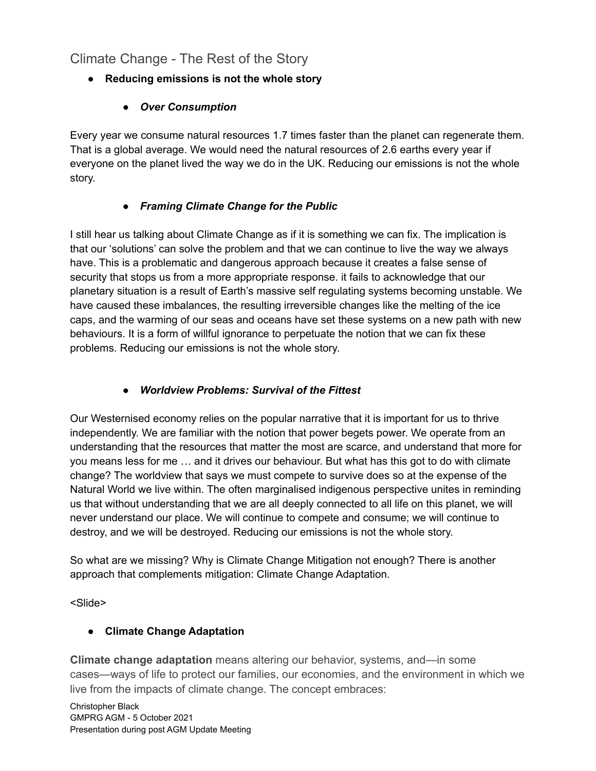- **● Reducing emissions is not the whole story**
	- *● Over Consumption*

Every year we consume natural resources 1.7 times faster than the planet can regenerate them. That is a global average. We would need the natural resources of 2.6 earths every year if everyone on the planet lived the way we do in the UK. Reducing our emissions is not the whole story.

## *● Framing Climate Change for the Public*

I still hear us talking about Climate Change as if it is something we can fix. The implication is that our 'solutions' can solve the problem and that we can continue to live the way we always have. This is a problematic and dangerous approach because it creates a false sense of security that stops us from a more appropriate response. it fails to acknowledge that our planetary situation is a result of Earth's massive self regulating systems becoming unstable. We have caused these imbalances, the resulting irreversible changes like the melting of the ice caps, and the warming of our seas and oceans have set these systems on a new path with new behaviours. It is a form of willful ignorance to perpetuate the notion that we can fix these problems. Reducing our emissions is not the whole story.

## *● Worldview Problems: Survival of the Fittest*

Our Westernised economy relies on the popular narrative that it is important for us to thrive independently. We are familiar with the notion that power begets power. We operate from an understanding that the resources that matter the most are scarce, and understand that more for you means less for me … and it drives our behaviour. But what has this got to do with climate change? The worldview that says we must compete to survive does so at the expense of the Natural World we live within. The often marginalised indigenous perspective unites in reminding us that without understanding that we are all deeply connected to all life on this planet, we will never understand our place. We will continue to compete and consume; we will continue to destroy, and we will be destroyed. Reducing our emissions is not the whole story.

So what are we missing? Why is Climate Change Mitigation not enough? There is another approach that complements mitigation: Climate Change Adaptation.

<Slide>

### **● Climate Change Adaptation**

**Climate change adaptation** means altering our behavior, systems, and—in some cases—ways of life to protect our families, our economies, and the environment in which we live from the impacts of climate change. The concept embraces: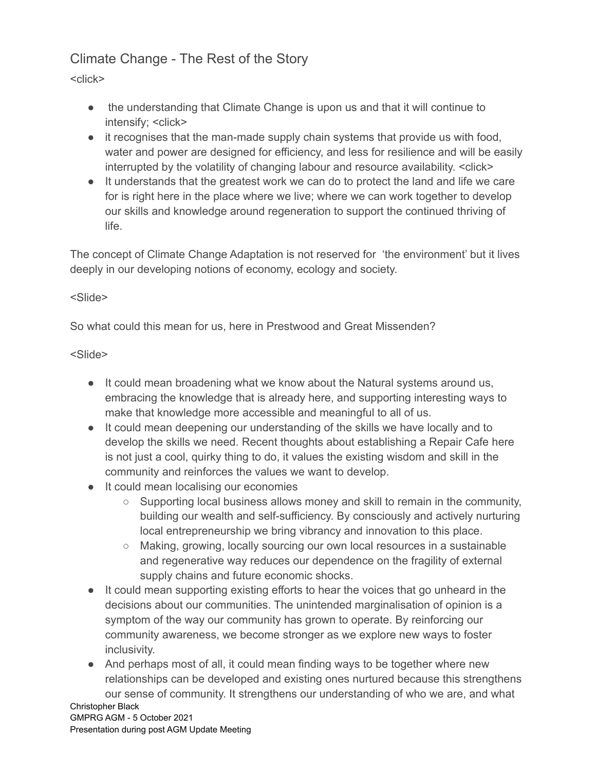<click>

- the understanding that Climate Change is upon us and that it will continue to intensify; <click>
- it recognises that the man-made supply chain systems that provide us with food, water and power are designed for efficiency, and less for resilience and will be easily interrupted by the volatility of changing labour and resource availability. <click>
- It understands that the greatest work we can do to protect the land and life we care for is right here in the place where we live; where we can work together to develop our skills and knowledge around regeneration to support the continued thriving of life.

The concept of Climate Change Adaptation is not reserved for 'the environment' but it lives deeply in our developing notions of economy, ecology and society.

## <Slide>

So what could this mean for us, here in Prestwood and Great Missenden?

## <Slide>

- It could mean broadening what we know about the Natural systems around us, embracing the knowledge that is already here, and supporting interesting ways to make that knowledge more accessible and meaningful to all of us.
- *●* It could mean deepening our understanding of the skills we have locally and to develop the skills we need. Recent thoughts about establishing a Repair Cafe here is not just a cool, quirky thing to do, it values the existing wisdom and skill in the community and reinforces the values we want to develop.
- *●* It could mean localising our economies
	- *○* Supporting local business allows money and skill to remain in the community, building our wealth and self-sufficiency. By consciously and actively nurturing local entrepreneurship we bring vibrancy and innovation to this place.
	- *○* Making, growing, locally sourcing our own local resources in a sustainable and regenerative way reduces our dependence on the fragility of external supply chains and future economic shocks.
- *●* It could mean supporting existing efforts to hear the voices that go unheard in the decisions about our communities. The unintended marginalisation of opinion is a symptom of the way our community has grown to operate. By reinforcing our community awareness, we become stronger as we explore new ways to foster inclusivity.
- *●* And perhaps most of all, it could mean finding ways to be together where new relationships can be developed and existing ones nurtured because this strengthens our sense of community. It strengthens our understanding of who we are, and what